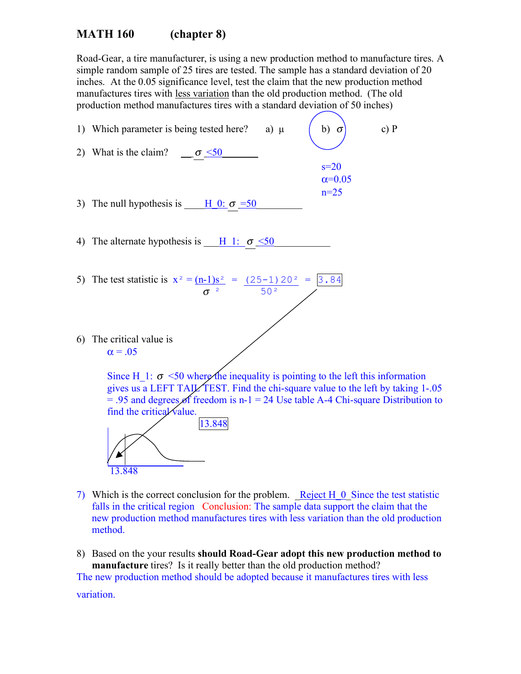## **MATH 160 (chapter 8)**

Road-Gear, a tire manufacturer, is using a new production method to manufacture tires. A simple random sample of 25 tires are tested. The sample has a standard deviation of 20 inches. At the 0.05 significance level, test the claim that the new production method manufactures tires with less variation than the old production method. (The old production method manufactures tires with a standard deviation of 50 inches)

|    | 1) Which parameter is being tested here? a) $\mu$<br>b)<br>c) P                                                                                                                                                                                                                                                            |
|----|----------------------------------------------------------------------------------------------------------------------------------------------------------------------------------------------------------------------------------------------------------------------------------------------------------------------------|
|    | 2) What is the claim? $\sigma \leq 50$                                                                                                                                                                                                                                                                                     |
|    | $s=20$<br>$\alpha = 0.05$<br>$n=25$                                                                                                                                                                                                                                                                                        |
|    | 3) The null hypothesis is $\underline{H\_0: \sigma = 50}$                                                                                                                                                                                                                                                                  |
|    | 4) The alternate hypothesis is $\underline{H_1: \sigma \leq 50}$                                                                                                                                                                                                                                                           |
|    | 5) The test statistic is $x^2 = (n-1)s^2 = (25-1)20^2 = 3.84$                                                                                                                                                                                                                                                              |
| 6) | The critical value is<br>$\alpha = .05$                                                                                                                                                                                                                                                                                    |
|    | Since H <sub>1</sub> : $\sigma$ <50 where the inequality is pointing to the left this information<br>gives us a LEFT TAIL TEST. Find the chi-square value to the left by taking 1-.05<br>= .95 and degrees of freedom is n-1 = 24 Use table A-4 Chi-square Distribution to<br>find the critical value.<br>13.848<br>13.848 |

- 7) Which is the correct conclusion for the problem.  $Reject H_0$  Since the test statistic falls in the critical region Conclusion: The sample data support the claim that the new production method manufactures tires with less variation than the old production method.
- 8) Based on the your results **should Road-Gear adopt this new production method to manufacture** tires? Is it really better than the old production method? The new production method should be adopted because it manufactures tires with less

variation.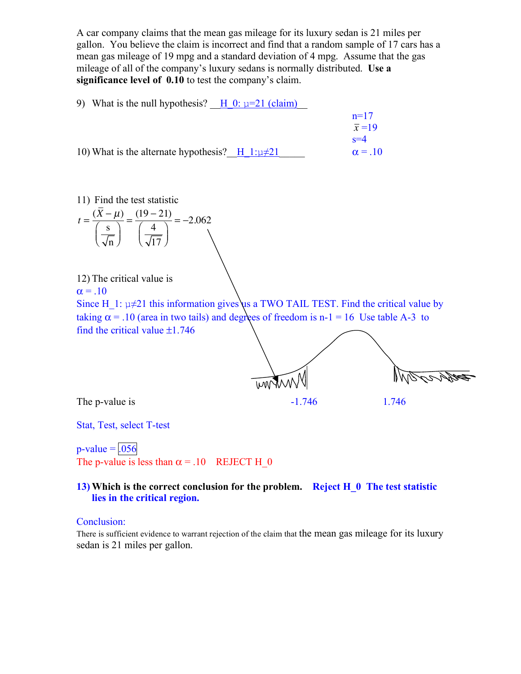A car company claims that the mean gas mileage for its luxury sedan is 21 miles per gallon. You believe the claim is incorrect and find that a random sample of 17 cars has a mean gas mileage of 19 mpg and a standard deviation of 4 mpg. Assume that the gas mileage of all of the company's luxury sedans is normally distributed. **Use a significance level of 0.10** to test the company's claim.

|  |  | 9) What is the null hypothesis? | $H_0: \mu=21$ (claim) |  |
|--|--|---------------------------------|-----------------------|--|
|--|--|---------------------------------|-----------------------|--|

|                                                        | $n=17$              |
|--------------------------------------------------------|---------------------|
|                                                        | $\overline{x} = 19$ |
|                                                        | $s = 4$             |
| 10) What is the alternate hypothesis? H $1:\mu\neq 21$ | $\alpha = 10$       |

11) Find the test statistic

$$
t = \frac{(\bar{X} - \mu)}{\left(\frac{s}{\sqrt{n}}\right)} = \frac{(19 - 21)}{\left(\frac{4}{\sqrt{17}}\right)} = -2.062
$$

12) The critical value is  $\alpha = .10$ 

Since H 1:  $\mu \neq 21$  this information gives us a TWO TAIL TEST. Find the critical value by taking  $\alpha$  = .10 (area in two tails) and degrees of freedom is n-1 = 16 Use table A-3 to find the critical value  $\pm 1.746$ 



Stat, Test, select T-test

 $p-value = 0.056$ The p-value is less than  $\alpha = 0.10$  REJECT H 0

## **13) Which is the correct conclusion for the problem. Reject H\_0 The test statistic lies in the critical region.**

## Conclusion:

There is sufficient evidence to warrant rejection of the claim that the mean gas mileage for its luxury sedan is 21 miles per gallon.